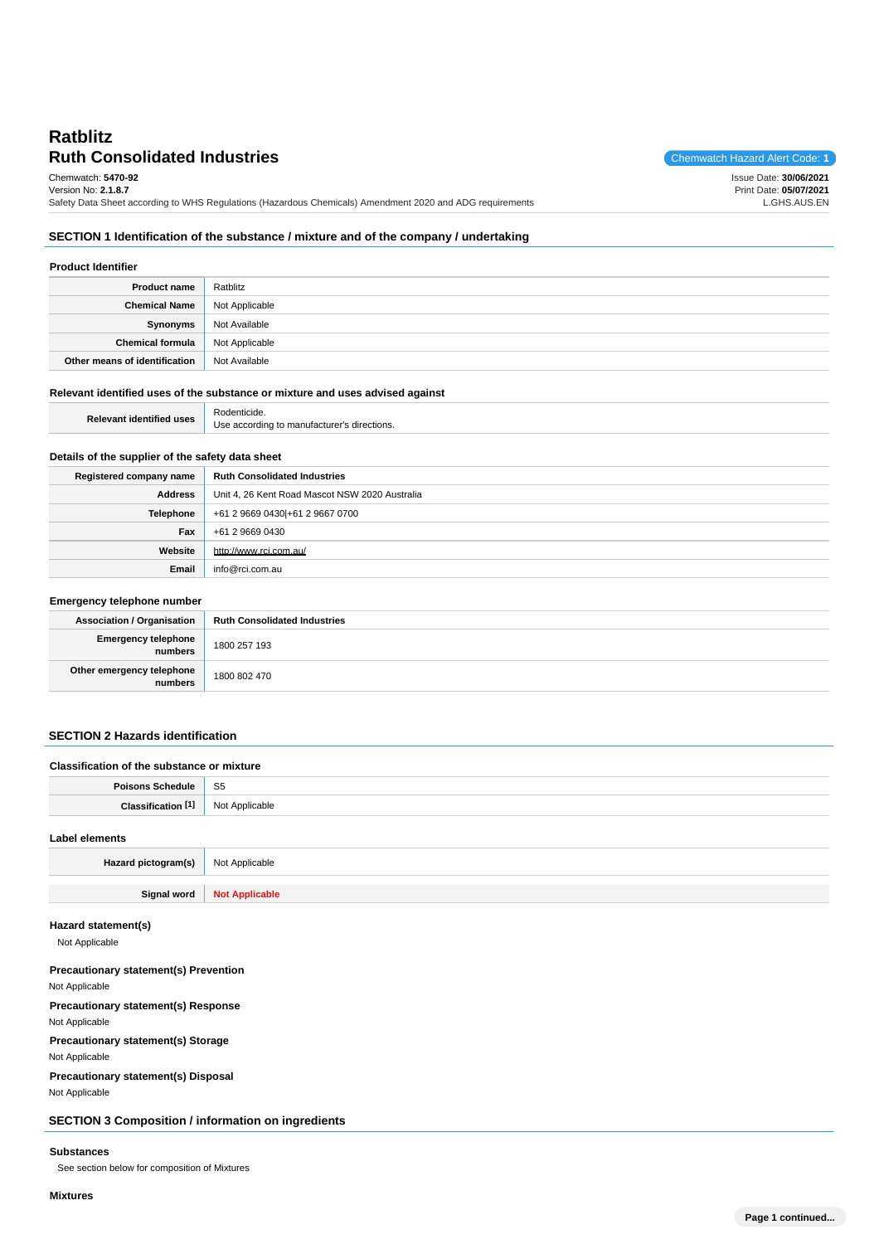# **Ruth Consolidated Industries** Chemwatch Hazard Alert Code: 1 **Ratblitz**

Chemwatch: **5470-92**

Issue Date: **30/06/2021** Print Date: **05/07/2021** L.GHS.AUS.EN

Version No: **2.1.8.7** Safety Data Sheet according to WHS Regulations (Hazardous Chemicals) Amendment 2020 and ADG requirements

### **SECTION 1 Identification of the substance / mixture and of the company / undertaking**

| <b>Product Identifier</b>     |                |
|-------------------------------|----------------|
| <b>Product name</b>           | Ratblitz       |
| <b>Chemical Name</b>          | Not Applicable |
| Synonyms                      | Not Available  |
| <b>Chemical formula</b>       | Not Applicable |
| Other means of identification | Not Available  |

#### **Relevant identified uses of the substance or mixture and uses advised against**

| Relevant identified uses | cide<br>11 J L                                       |
|--------------------------|------------------------------------------------------|
|                          | according to manufacturer's<br>Jse.<br>∴s directions |

## **Details of the supplier of the safety data sheet**

| Registered company name | <b>Ruth Consolidated Industries</b>            |  |
|-------------------------|------------------------------------------------|--|
| <b>Address</b>          | Unit 4, 26 Kent Road Mascot NSW 2020 Australia |  |
| <b>Telephone</b>        | +61 2 9669 0430 + 61 2 9667 0700               |  |
| Fax                     | +61 2 9669 0430                                |  |
| Website                 | http://www.rci.com.au/                         |  |
| Email                   | info@rci.com.au                                |  |

| Emergency telephone number           |                                     |
|--------------------------------------|-------------------------------------|
| <b>Association / Organisation</b>    | <b>Ruth Consolidated Industries</b> |
| Emergency telephone<br>numbers       | 1800 257 193                        |
| Other emergency telephone<br>numbers | 1800 802 470                        |

## **SECTION 2 Hazards identification**

| Classification of the substance or mixture |                |
|--------------------------------------------|----------------|
| <b>Poisons Schedule</b>                    | - S5           |
| Classification <sup>[1]</sup>              | Not Applicable |
| Label elements                             |                |
| Hazard pictogram(s)                        | Not Applicable |

**Signal word Not Applicable**

## **Hazard statement(s)**

Not Applicable

#### **Precautionary statement(s) Prevention**

Not Applicable

## **Precautionary statement(s) Response**

Not Applicable

## **Precautionary statement(s) Storage**

Not Applicable

**Precautionary statement(s) Disposal**

Not Applicable

**SECTION 3 Composition / information on ingredients**

### **Substances**

See section below for composition of Mixtures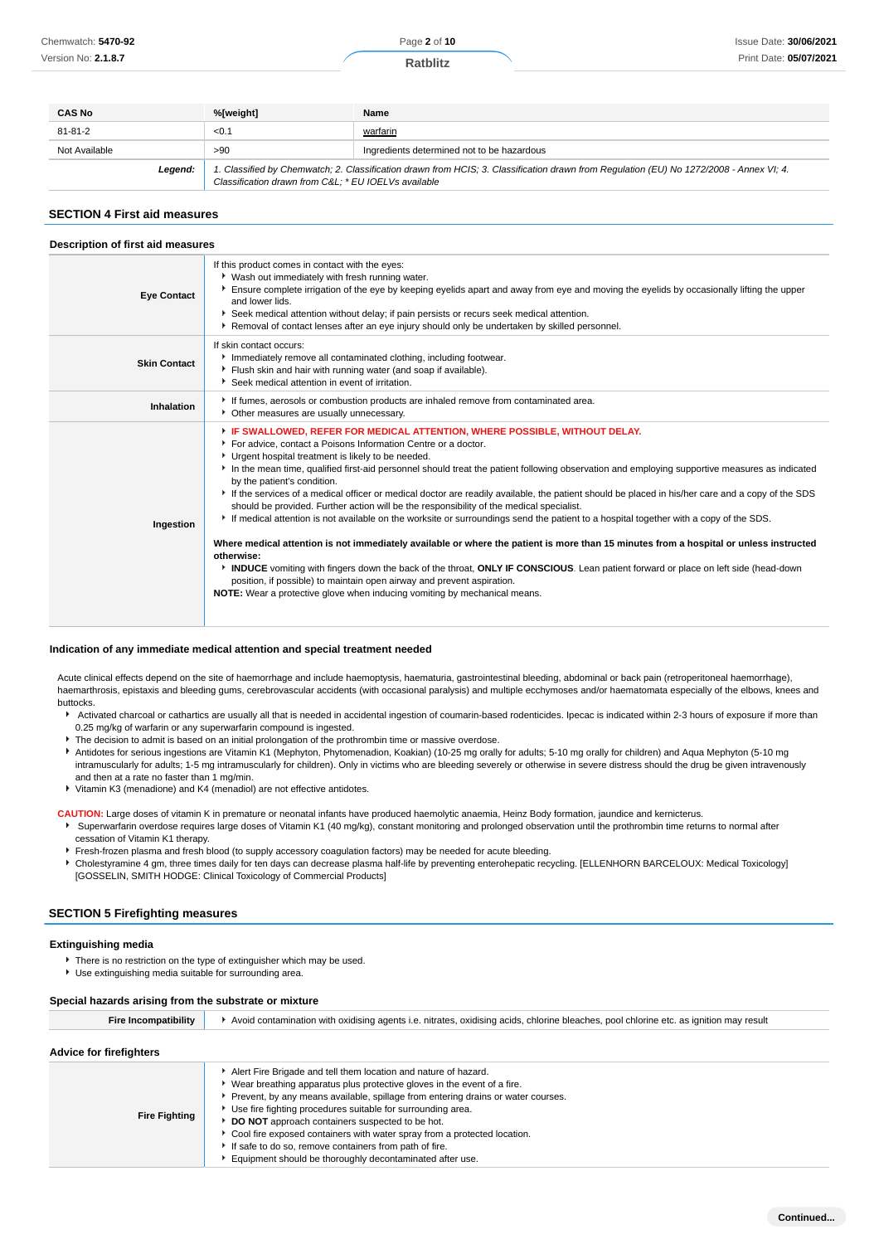**Ratblitz**

| <b>CAS No</b> | %[weight]                                           | Name                                                                                                                                    |
|---------------|-----------------------------------------------------|-----------------------------------------------------------------------------------------------------------------------------------------|
| 81-81-2       | < 0.1                                               | warfarin                                                                                                                                |
| Not Available | >90                                                 | Ingredients determined not to be hazardous                                                                                              |
| Legend:       | Classification drawn from C&L * EU IOELVs available | 1. Classified by Chemwatch; 2. Classification drawn from HCIS; 3. Classification drawn from Requlation (EU) No 1272/2008 - Annex VI; 4. |

#### **SECTION 4 First aid measures**

| Description of first aid measures |                                                                                                                                                                                                                                                                                                                                                                                                                                                                                                                                                                                                                                                                                                                                                                                                                                                                                                                                                                                                                                                                                                                                                                                                                                       |  |  |
|-----------------------------------|---------------------------------------------------------------------------------------------------------------------------------------------------------------------------------------------------------------------------------------------------------------------------------------------------------------------------------------------------------------------------------------------------------------------------------------------------------------------------------------------------------------------------------------------------------------------------------------------------------------------------------------------------------------------------------------------------------------------------------------------------------------------------------------------------------------------------------------------------------------------------------------------------------------------------------------------------------------------------------------------------------------------------------------------------------------------------------------------------------------------------------------------------------------------------------------------------------------------------------------|--|--|
| <b>Eye Contact</b>                | If this product comes in contact with the eyes:<br>▶ Wash out immediately with fresh running water.<br>Ensure complete irrigation of the eye by keeping eyelids apart and away from eye and moving the eyelids by occasionally lifting the upper<br>and lower lids.<br>▶ Seek medical attention without delay; if pain persists or recurs seek medical attention.<br>▶ Removal of contact lenses after an eye injury should only be undertaken by skilled personnel.                                                                                                                                                                                                                                                                                                                                                                                                                                                                                                                                                                                                                                                                                                                                                                  |  |  |
| <b>Skin Contact</b>               | If skin contact occurs:<br>Immediately remove all contaminated clothing, including footwear.<br>Flush skin and hair with running water (and soap if available).<br>Seek medical attention in event of irritation.                                                                                                                                                                                                                                                                                                                                                                                                                                                                                                                                                                                                                                                                                                                                                                                                                                                                                                                                                                                                                     |  |  |
| Inhalation                        | If fumes, aerosols or combustion products are inhaled remove from contaminated area.<br>• Other measures are usually unnecessary.                                                                                                                                                                                                                                                                                                                                                                                                                                                                                                                                                                                                                                                                                                                                                                                                                                                                                                                                                                                                                                                                                                     |  |  |
| Ingestion                         | FIF SWALLOWED, REFER FOR MEDICAL ATTENTION, WHERE POSSIBLE, WITHOUT DELAY.<br>For advice, contact a Poisons Information Centre or a doctor.<br>Urgent hospital treatment is likely to be needed.<br>In the mean time, qualified first-aid personnel should treat the patient following observation and employing supportive measures as indicated<br>by the patient's condition.<br>If the services of a medical officer or medical doctor are readily available, the patient should be placed in his/her care and a copy of the SDS<br>should be provided. Further action will be the responsibility of the medical specialist.<br>If medical attention is not available on the worksite or surroundings send the patient to a hospital together with a copy of the SDS.<br>Where medical attention is not immediately available or where the patient is more than 15 minutes from a hospital or unless instructed<br>otherwise:<br>INDUCE vomiting with fingers down the back of the throat, ONLY IF CONSCIOUS. Lean patient forward or place on left side (head-down<br>position, if possible) to maintain open airway and prevent aspiration.<br><b>NOTE:</b> Wear a protective glove when inducing vomiting by mechanical means. |  |  |

#### **Indication of any immediate medical attention and special treatment needed**

Acute clinical effects depend on the site of haemorrhage and include haemoptysis, haematuria, gastrointestinal bleeding, abdominal or back pain (retroperitoneal haemorrhage), haemarthrosis, epistaxis and bleeding gums, cerebrovascular accidents (with occasional paralysis) and multiple ecchymoses and/or haematomata especially of the elbows, knees and buttocks.

- Activated charcoal or cathartics are usually all that is needed in accidental ingestion of coumarin-based rodenticides. Ipecac is indicated within 2-3 hours of exposure if more than 0.25 mg/kg of warfarin or any superwarfarin compound is ingested.
- The decision to admit is based on an initial prolongation of the prothrombin time or massive overdose.
- Antidotes for serious ingestions are Vitamin K1 (Mephyton, Phytomenadion, Koakian) (10-25 mg orally for adults; 5-10 mg orally for children) and Aqua Mephyton (5-10 mg intramuscularly for adults; 1-5 mg intramuscularly for children). Only in victims who are bleeding severely or otherwise in severe distress should the drug be given intravenously and then at a rate no faster than 1 mg/min.
- Vitamin K3 (menadione) and K4 (menadiol) are not effective antidotes.
- **CAUTION:** Large doses of vitamin K in premature or neonatal infants have produced haemolytic anaemia, Heinz Body formation, jaundice and kernicterus.
- Superwarfarin overdose requires large doses of Vitamin K1 (40 mg/kg), constant monitoring and prolonged observation until the prothrombin time returns to normal after cessation of Vitamin K1 therapy.
- Fresh-frozen plasma and fresh blood (to supply accessory coagulation factors) may be needed for acute bleeding.
- Cholestyramine 4 gm, three times daily for ten days can decrease plasma half-life by preventing enterohepatic recycling. [ELLENHORN BARCELOUX: Medical Toxicology] [GOSSELIN, SMITH HODGE: Clinical Toxicology of Commercial Products]

### **SECTION 5 Firefighting measures**

#### **Extinguishing media**

- ▶ There is no restriction on the type of extinguisher which may be used.
- Use extinguishing media suitable for surrounding area.

#### **Special hazards arising from the substrate or mixture**

| Fire Incompatibility           | Avoid contamination with oxidising agents i.e. nitrates, oxidising acids, chlorine bleaches, pool chlorine etc. as ignition may result                                                                                                                                                                                                                                                                                                                                                                                                               |  |  |
|--------------------------------|------------------------------------------------------------------------------------------------------------------------------------------------------------------------------------------------------------------------------------------------------------------------------------------------------------------------------------------------------------------------------------------------------------------------------------------------------------------------------------------------------------------------------------------------------|--|--|
| <b>Advice for firefighters</b> |                                                                                                                                                                                                                                                                                                                                                                                                                                                                                                                                                      |  |  |
| <b>Fire Fighting</b>           | Alert Fire Brigade and tell them location and nature of hazard.<br>▶ Wear breathing apparatus plus protective gloves in the event of a fire.<br>Prevent, by any means available, spillage from entering drains or water courses.<br>Use fire fighting procedures suitable for surrounding area.<br>DO NOT approach containers suspected to be hot.<br>Cool fire exposed containers with water spray from a protected location.<br>If safe to do so, remove containers from path of fire.<br>Equipment should be thoroughly decontaminated after use. |  |  |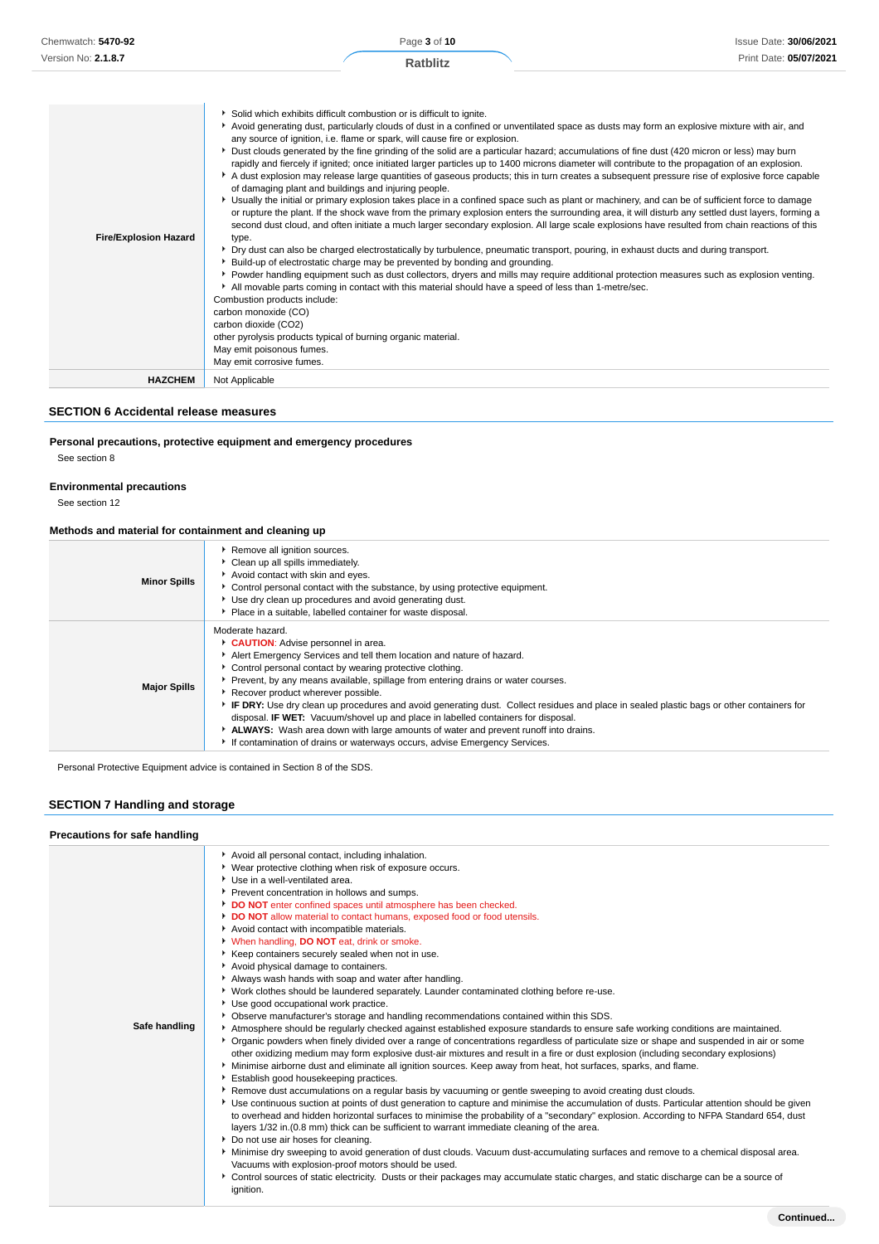| <b>Fire/Explosion Hazard</b> | Solid which exhibits difficult combustion or is difficult to ignite.<br>Avoid generating dust, particularly clouds of dust in a confined or unventilated space as dusts may form an explosive mixture with air, and<br>any source of ignition, i.e. flame or spark, will cause fire or explosion.<br>> Dust clouds generated by the fine grinding of the solid are a particular hazard; accumulations of fine dust (420 micron or less) may burn<br>rapidly and fiercely if ignited; once initiated larger particles up to 1400 microns diameter will contribute to the propagation of an explosion.<br>A dust explosion may release large quantities of gaseous products; this in turn creates a subsequent pressure rise of explosive force capable<br>of damaging plant and buildings and injuring people.<br>▶ Usually the initial or primary explosion takes place in a confined space such as plant or machinery, and can be of sufficient force to damage<br>or rupture the plant. If the shock wave from the primary explosion enters the surrounding area, it will disturb any settled dust layers, forming a<br>second dust cloud, and often initiate a much larger secondary explosion. All large scale explosions have resulted from chain reactions of this<br>type.<br>▶ Dry dust can also be charged electrostatically by turbulence, pneumatic transport, pouring, in exhaust ducts and during transport.<br>▶ Build-up of electrostatic charge may be prevented by bonding and grounding.<br>▶ Powder handling equipment such as dust collectors, dryers and mills may require additional protection measures such as explosion venting.<br>All movable parts coming in contact with this material should have a speed of less than 1-metre/sec.<br>Combustion products include:<br>carbon monoxide (CO)<br>carbon dioxide (CO2)<br>other pyrolysis products typical of burning organic material.<br>May emit poisonous fumes.<br>May emit corrosive fumes. |
|------------------------------|------------------------------------------------------------------------------------------------------------------------------------------------------------------------------------------------------------------------------------------------------------------------------------------------------------------------------------------------------------------------------------------------------------------------------------------------------------------------------------------------------------------------------------------------------------------------------------------------------------------------------------------------------------------------------------------------------------------------------------------------------------------------------------------------------------------------------------------------------------------------------------------------------------------------------------------------------------------------------------------------------------------------------------------------------------------------------------------------------------------------------------------------------------------------------------------------------------------------------------------------------------------------------------------------------------------------------------------------------------------------------------------------------------------------------------------------------------------------------------------------------------------------------------------------------------------------------------------------------------------------------------------------------------------------------------------------------------------------------------------------------------------------------------------------------------------------------------------------------------------------------------------------------------------------------------------------------------------------------|
| <b>HAZCHEM</b>               | Not Applicable                                                                                                                                                                                                                                                                                                                                                                                                                                                                                                                                                                                                                                                                                                                                                                                                                                                                                                                                                                                                                                                                                                                                                                                                                                                                                                                                                                                                                                                                                                                                                                                                                                                                                                                                                                                                                                                                                                                                                               |

## **SECTION 6 Accidental release measures**

## **Personal precautions, protective equipment and emergency procedures**

See section 8

### **Environmental precautions**

See section 12

### **Methods and material for containment and cleaning up**

| <b>Minor Spills</b> | Remove all ignition sources.<br>• Clean up all spills immediately.<br>Avoid contact with skin and eyes.<br>Control personal contact with the substance, by using protective equipment.<br>▶ Use dry clean up procedures and avoid generating dust.<br>Place in a suitable, labelled container for waste disposal.                                                                                                                                                                                                                                                                                                                                                                                                                     |
|---------------------|---------------------------------------------------------------------------------------------------------------------------------------------------------------------------------------------------------------------------------------------------------------------------------------------------------------------------------------------------------------------------------------------------------------------------------------------------------------------------------------------------------------------------------------------------------------------------------------------------------------------------------------------------------------------------------------------------------------------------------------|
| <b>Major Spills</b> | Moderate hazard.<br>CAUTION: Advise personnel in area.<br>Alert Emergency Services and tell them location and nature of hazard.<br>• Control personal contact by wearing protective clothing.<br>Prevent, by any means available, spillage from entering drains or water courses.<br>Recover product wherever possible.<br>► IF DRY: Use dry clean up procedures and avoid generating dust. Collect residues and place in sealed plastic bags or other containers for<br>disposal. <b>IF WET:</b> Vacuum/shovel up and place in labelled containers for disposal.<br>ALWAYS: Wash area down with large amounts of water and prevent runoff into drains.<br>If contamination of drains or waterways occurs, advise Emergency Services. |

Personal Protective Equipment advice is contained in Section 8 of the SDS.

## **SECTION 7 Handling and storage**

#### **Precautions for safe handling**

| Safe handling | Avoid all personal contact, including inhalation.<br>▶ Wear protective clothing when risk of exposure occurs.<br>▶ Use in a well-ventilated area.<br>Prevent concentration in hollows and sumps.<br>DO NOT enter confined spaces until atmosphere has been checked.<br>DO NOT allow material to contact humans, exposed food or food utensils.<br>Avoid contact with incompatible materials.<br>V When handling, DO NOT eat, drink or smoke.<br>Keep containers securely sealed when not in use.<br>Avoid physical damage to containers.<br>Always wash hands with soap and water after handling.<br>▶ Work clothes should be laundered separately. Launder contaminated clothing before re-use.<br>Use good occupational work practice.<br>▶ Observe manufacturer's storage and handling recommendations contained within this SDS.<br>Atmosphere should be regularly checked against established exposure standards to ensure safe working conditions are maintained.<br>▶ Organic powders when finely divided over a range of concentrations regardless of particulate size or shape and suspended in air or some<br>other oxidizing medium may form explosive dust-air mixtures and result in a fire or dust explosion (including secondary explosions)<br>▶ Minimise airborne dust and eliminate all ignition sources. Keep away from heat, hot surfaces, sparks, and flame.<br>Establish good housekeeping practices.<br>▶ Remove dust accumulations on a regular basis by vacuuming or gentle sweeping to avoid creating dust clouds.<br>> Use continuous suction at points of dust generation to capture and minimise the accumulation of dusts. Particular attention should be given<br>to overhead and hidden horizontal surfaces to minimise the probability of a "secondary" explosion. According to NFPA Standard 654, dust<br>layers 1/32 in. (0.8 mm) thick can be sufficient to warrant immediate cleaning of the area.<br>Do not use air hoses for cleaning.<br>▶ Minimise dry sweeping to avoid generation of dust clouds. Vacuum dust-accumulating surfaces and remove to a chemical disposal area.<br>Vacuums with explosion-proof motors should be used.<br>Control sources of static electricity. Dusts or their packages may accumulate static charges, and static discharge can be a source of<br>ignition. |
|---------------|-------------------------------------------------------------------------------------------------------------------------------------------------------------------------------------------------------------------------------------------------------------------------------------------------------------------------------------------------------------------------------------------------------------------------------------------------------------------------------------------------------------------------------------------------------------------------------------------------------------------------------------------------------------------------------------------------------------------------------------------------------------------------------------------------------------------------------------------------------------------------------------------------------------------------------------------------------------------------------------------------------------------------------------------------------------------------------------------------------------------------------------------------------------------------------------------------------------------------------------------------------------------------------------------------------------------------------------------------------------------------------------------------------------------------------------------------------------------------------------------------------------------------------------------------------------------------------------------------------------------------------------------------------------------------------------------------------------------------------------------------------------------------------------------------------------------------------------------------------------------------------------------------------------------------------------------------------------------------------------------------------------------------------------------------------------------------------------------------------------------------------------------------------------------------------------------------------------------------------------------------------------------------------------------------------------------------------------|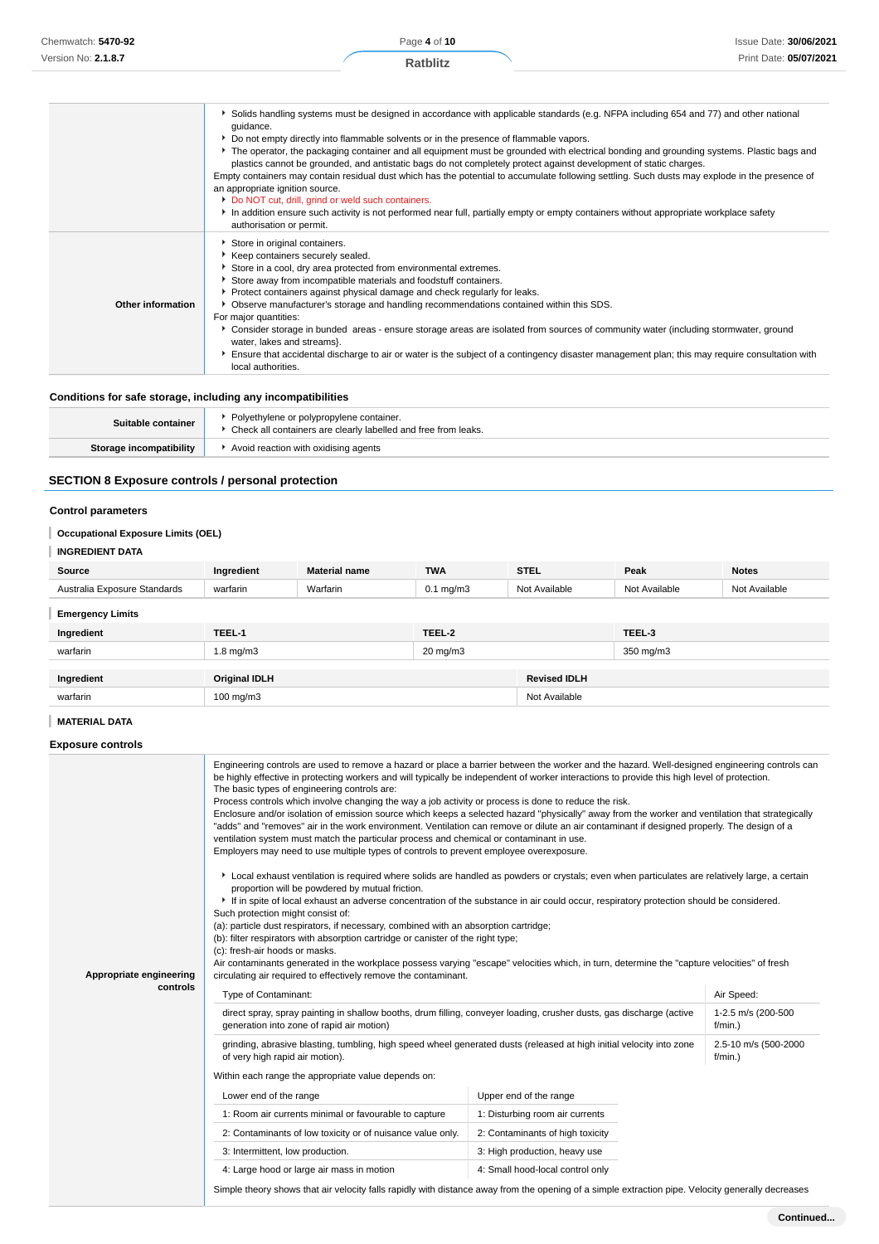|                   | Solids handling systems must be designed in accordance with applicable standards (e.g. NFPA including 654 and 77) and other national                                                                                                                                                                                                                                                                                                                                                                                                                                                                                                                                                                                               |
|-------------------|------------------------------------------------------------------------------------------------------------------------------------------------------------------------------------------------------------------------------------------------------------------------------------------------------------------------------------------------------------------------------------------------------------------------------------------------------------------------------------------------------------------------------------------------------------------------------------------------------------------------------------------------------------------------------------------------------------------------------------|
|                   | quidance.<br>► Do not empty directly into flammable solvents or in the presence of flammable vapors.                                                                                                                                                                                                                                                                                                                                                                                                                                                                                                                                                                                                                               |
|                   | The operator, the packaging container and all equipment must be grounded with electrical bonding and grounding systems. Plastic bags and<br>plastics cannot be grounded, and antistatic bags do not completely protect against development of static charges.<br>Empty containers may contain residual dust which has the potential to accumulate following settling. Such dusts may explode in the presence of<br>an appropriate ignition source.<br>Do NOT cut, drill, grind or weld such containers.                                                                                                                                                                                                                            |
|                   | In addition ensure such activity is not performed near full, partially empty or empty containers without appropriate workplace safety<br>authorisation or permit.                                                                                                                                                                                                                                                                                                                                                                                                                                                                                                                                                                  |
| Other information | Store in original containers.<br>Keep containers securely sealed.<br>Store in a cool, dry area protected from environmental extremes.<br>Store away from incompatible materials and foodstuff containers.<br>• Protect containers against physical damage and check regularly for leaks.<br>Observe manufacturer's storage and handling recommendations contained within this SDS.<br>For major quantities:<br>▶ Consider storage in bunded areas - ensure storage areas are isolated from sources of community water (including stormwater, ground<br>water, lakes and streams}.<br>Ensure that accidental discharge to air or water is the subject of a contingency disaster management plan; this may require consultation with |
|                   | local authorities.                                                                                                                                                                                                                                                                                                                                                                                                                                                                                                                                                                                                                                                                                                                 |

### **Conditions for safe storage, including any incompatibilities**

 $\overline{1}$ 

| Suitable container      | Polyethylene or polypropylene container.<br>Check all containers are clearly labelled and free from leaks. |
|-------------------------|------------------------------------------------------------------------------------------------------------|
| Storage incompatibility | Avoid reaction with oxidising agents                                                                       |

## **SECTION 8 Exposure controls / personal protection**

### **Control parameters**

### **Occupational Exposure Limits (OEL)**

### **INGREDIENT DATA**

| Source                       | Ingredient           | <b>Material name</b> | <b>TWA</b>           | <b>STEL</b>         | Peak          | <b>Notes</b>  |
|------------------------------|----------------------|----------------------|----------------------|---------------------|---------------|---------------|
| Australia Exposure Standards | warfarin             | Warfarin             | $0.1 \text{ mg/m}$ 3 | Not Available       | Not Available | Not Available |
| <b>Emergency Limits</b>      |                      |                      |                      |                     |               |               |
| Ingredient                   | TEEL-1               |                      | TEEL-2               |                     | TEEL-3        |               |
| warfarin                     | $1.8 \text{ mg/m}$   |                      | $20 \text{ mg/m}$ 3  |                     | 350 mg/m3     |               |
|                              |                      |                      |                      |                     |               |               |
| Ingredient                   | <b>Original IDLH</b> |                      |                      | <b>Revised IDLH</b> |               |               |
| warfarin                     | 100 mg/m $3$         |                      |                      | Not Available       |               |               |

## **MATERIAL DATA**

#### **Exposure controls**

| Appropriate engineering | Engineering controls are used to remove a hazard or place a barrier between the worker and the hazard. Well-designed engineering controls can<br>be highly effective in protecting workers and will typically be independent of worker interactions to provide this high level of protection.<br>The basic types of engineering controls are:<br>Process controls which involve changing the way a job activity or process is done to reduce the risk.<br>Enclosure and/or isolation of emission source which keeps a selected hazard "physically" away from the worker and ventilation that strategically<br>"adds" and "removes" air in the work environment. Ventilation can remove or dilute an air contaminant if designed properly. The design of a<br>ventilation system must match the particular process and chemical or contaminant in use.<br>Employers may need to use multiple types of controls to prevent employee overexposure.<br>Local exhaust ventilation is required where solids are handled as powders or crystals; even when particulates are relatively large, a certain<br>proportion will be powdered by mutual friction.<br>If in spite of local exhaust an adverse concentration of the substance in air could occur, respiratory protection should be considered.<br>Such protection might consist of:<br>(a): particle dust respirators, if necessary, combined with an absorption cartridge;<br>(b): filter respirators with absorption cartridge or canister of the right type;<br>(c): fresh-air hoods or masks.<br>Air contaminants generated in the workplace possess varying "escape" velocities which, in turn, determine the "capture velocities" of fresh<br>circulating air required to effectively remove the contaminant. |                                  |                                    |
|-------------------------|---------------------------------------------------------------------------------------------------------------------------------------------------------------------------------------------------------------------------------------------------------------------------------------------------------------------------------------------------------------------------------------------------------------------------------------------------------------------------------------------------------------------------------------------------------------------------------------------------------------------------------------------------------------------------------------------------------------------------------------------------------------------------------------------------------------------------------------------------------------------------------------------------------------------------------------------------------------------------------------------------------------------------------------------------------------------------------------------------------------------------------------------------------------------------------------------------------------------------------------------------------------------------------------------------------------------------------------------------------------------------------------------------------------------------------------------------------------------------------------------------------------------------------------------------------------------------------------------------------------------------------------------------------------------------------------------------------------------------------------------------------------------|----------------------------------|------------------------------------|
| controls                | Type of Contaminant:                                                                                                                                                                                                                                                                                                                                                                                                                                                                                                                                                                                                                                                                                                                                                                                                                                                                                                                                                                                                                                                                                                                                                                                                                                                                                                                                                                                                                                                                                                                                                                                                                                                                                                                                                |                                  | Air Speed:                         |
|                         | direct spray, spray painting in shallow booths, drum filling, conveyer loading, crusher dusts, gas discharge (active<br>1-2.5 m/s (200-500<br>generation into zone of rapid air motion)<br>$f/min.$ )                                                                                                                                                                                                                                                                                                                                                                                                                                                                                                                                                                                                                                                                                                                                                                                                                                                                                                                                                                                                                                                                                                                                                                                                                                                                                                                                                                                                                                                                                                                                                               |                                  |                                    |
|                         | grinding, abrasive blasting, tumbling, high speed wheel generated dusts (released at high initial velocity into zone<br>of very high rapid air motion).                                                                                                                                                                                                                                                                                                                                                                                                                                                                                                                                                                                                                                                                                                                                                                                                                                                                                                                                                                                                                                                                                                                                                                                                                                                                                                                                                                                                                                                                                                                                                                                                             |                                  | 2.5-10 m/s (500-2000<br>$f/min.$ ) |
|                         | Within each range the appropriate value depends on:                                                                                                                                                                                                                                                                                                                                                                                                                                                                                                                                                                                                                                                                                                                                                                                                                                                                                                                                                                                                                                                                                                                                                                                                                                                                                                                                                                                                                                                                                                                                                                                                                                                                                                                 |                                  |                                    |
|                         | Lower end of the range                                                                                                                                                                                                                                                                                                                                                                                                                                                                                                                                                                                                                                                                                                                                                                                                                                                                                                                                                                                                                                                                                                                                                                                                                                                                                                                                                                                                                                                                                                                                                                                                                                                                                                                                              | Upper end of the range           |                                    |
|                         | 1: Room air currents minimal or favourable to capture                                                                                                                                                                                                                                                                                                                                                                                                                                                                                                                                                                                                                                                                                                                                                                                                                                                                                                                                                                                                                                                                                                                                                                                                                                                                                                                                                                                                                                                                                                                                                                                                                                                                                                               | 1: Disturbing room air currents  |                                    |
|                         | 2: Contaminants of low toxicity or of nuisance value only.                                                                                                                                                                                                                                                                                                                                                                                                                                                                                                                                                                                                                                                                                                                                                                                                                                                                                                                                                                                                                                                                                                                                                                                                                                                                                                                                                                                                                                                                                                                                                                                                                                                                                                          | 2: Contaminants of high toxicity |                                    |
|                         | 3: Intermittent, low production.                                                                                                                                                                                                                                                                                                                                                                                                                                                                                                                                                                                                                                                                                                                                                                                                                                                                                                                                                                                                                                                                                                                                                                                                                                                                                                                                                                                                                                                                                                                                                                                                                                                                                                                                    | 3: High production, heavy use    |                                    |
|                         | 4: Large hood or large air mass in motion                                                                                                                                                                                                                                                                                                                                                                                                                                                                                                                                                                                                                                                                                                                                                                                                                                                                                                                                                                                                                                                                                                                                                                                                                                                                                                                                                                                                                                                                                                                                                                                                                                                                                                                           | 4: Small hood-local control only |                                    |
|                         | Simple theory shows that air velocity falls rapidly with distance away from the opening of a simple extraction pipe. Velocity generally decreases                                                                                                                                                                                                                                                                                                                                                                                                                                                                                                                                                                                                                                                                                                                                                                                                                                                                                                                                                                                                                                                                                                                                                                                                                                                                                                                                                                                                                                                                                                                                                                                                                   |                                  |                                    |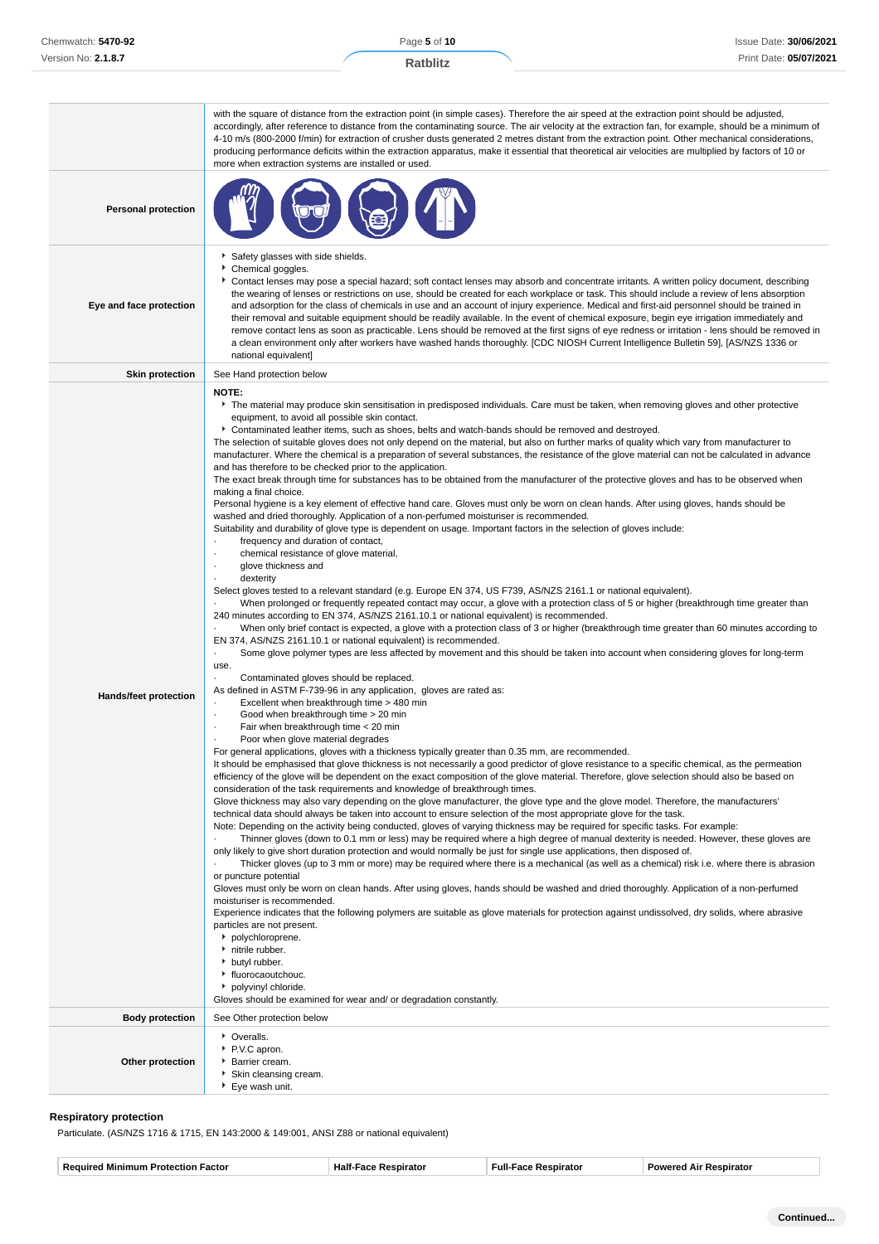|                              | with the square of distance from the extraction point (in simple cases). Therefore the air speed at the extraction point should be adjusted,<br>accordingly, after reference to distance from the contaminating source. The air velocity at the extraction fan, for example, should be a minimum of<br>4-10 m/s (800-2000 f/min) for extraction of crusher dusts generated 2 metres distant from the extraction point. Other mechanical considerations,<br>producing performance deficits within the extraction apparatus, make it essential that theoretical air velocities are multiplied by factors of 10 or<br>more when extraction systems are installed or used.                                                                                                                                                                                                                                                                                                                                                                                                                                                                                                                                                                                                                                                                                                                                                                                                                                                                                                                                                                                                                                                                                                                                                                                                                                                                                                                                                                                                                                                                                                                                                                                                                                                                                                                                                                                                                                                                                                                                                                                                                                                                                                                                                                                                                                                                                                                                                                                                                                                                                                                                                                                                                                                                                                                                                                                                                                                                                                                                                                                                                                                                                                                                                                                                                                                                                                                                                                                                                                                                                                                                                                         |
|------------------------------|------------------------------------------------------------------------------------------------------------------------------------------------------------------------------------------------------------------------------------------------------------------------------------------------------------------------------------------------------------------------------------------------------------------------------------------------------------------------------------------------------------------------------------------------------------------------------------------------------------------------------------------------------------------------------------------------------------------------------------------------------------------------------------------------------------------------------------------------------------------------------------------------------------------------------------------------------------------------------------------------------------------------------------------------------------------------------------------------------------------------------------------------------------------------------------------------------------------------------------------------------------------------------------------------------------------------------------------------------------------------------------------------------------------------------------------------------------------------------------------------------------------------------------------------------------------------------------------------------------------------------------------------------------------------------------------------------------------------------------------------------------------------------------------------------------------------------------------------------------------------------------------------------------------------------------------------------------------------------------------------------------------------------------------------------------------------------------------------------------------------------------------------------------------------------------------------------------------------------------------------------------------------------------------------------------------------------------------------------------------------------------------------------------------------------------------------------------------------------------------------------------------------------------------------------------------------------------------------------------------------------------------------------------------------------------------------------------------------------------------------------------------------------------------------------------------------------------------------------------------------------------------------------------------------------------------------------------------------------------------------------------------------------------------------------------------------------------------------------------------------------------------------------------------------------------------------------------------------------------------------------------------------------------------------------------------------------------------------------------------------------------------------------------------------------------------------------------------------------------------------------------------------------------------------------------------------------------------------------------------------------------------------------------------------------------------------------------------------------------------------------------------------------------------------------------------------------------------------------------------------------------------------------------------------------------------------------------------------------------------------------------------------------------------------------------------------------------------------------------------------------------------------------------------------------------------------------------------------------------------------|
| <b>Personal protection</b>   |                                                                                                                                                                                                                                                                                                                                                                                                                                                                                                                                                                                                                                                                                                                                                                                                                                                                                                                                                                                                                                                                                                                                                                                                                                                                                                                                                                                                                                                                                                                                                                                                                                                                                                                                                                                                                                                                                                                                                                                                                                                                                                                                                                                                                                                                                                                                                                                                                                                                                                                                                                                                                                                                                                                                                                                                                                                                                                                                                                                                                                                                                                                                                                                                                                                                                                                                                                                                                                                                                                                                                                                                                                                                                                                                                                                                                                                                                                                                                                                                                                                                                                                                                                                                                                                |
| Eye and face protection      | Safety glasses with side shields.<br>Chemical goggles.<br>Contact lenses may pose a special hazard; soft contact lenses may absorb and concentrate irritants. A written policy document, describing<br>the wearing of lenses or restrictions on use, should be created for each workplace or task. This should include a review of lens absorption<br>and adsorption for the class of chemicals in use and an account of injury experience. Medical and first-aid personnel should be trained in<br>their removal and suitable equipment should be readily available. In the event of chemical exposure, begin eye irrigation immediately and<br>remove contact lens as soon as practicable. Lens should be removed at the first signs of eye redness or irritation - lens should be removed in<br>a clean environment only after workers have washed hands thoroughly. [CDC NIOSH Current Intelligence Bulletin 59], [AS/NZS 1336 or<br>national equivalent]                                                                                                                                                                                                                                                                                                                                                                                                                                                                                                                                                                                                                                                                                                                                                                                                                                                                                                                                                                                                                                                                                                                                                                                                                                                                                                                                                                                                                                                                                                                                                                                                                                                                                                                                                                                                                                                                                                                                                                                                                                                                                                                                                                                                                                                                                                                                                                                                                                                                                                                                                                                                                                                                                                                                                                                                                                                                                                                                                                                                                                                                                                                                                                                                                                                                                  |
| <b>Skin protection</b>       | See Hand protection below                                                                                                                                                                                                                                                                                                                                                                                                                                                                                                                                                                                                                                                                                                                                                                                                                                                                                                                                                                                                                                                                                                                                                                                                                                                                                                                                                                                                                                                                                                                                                                                                                                                                                                                                                                                                                                                                                                                                                                                                                                                                                                                                                                                                                                                                                                                                                                                                                                                                                                                                                                                                                                                                                                                                                                                                                                                                                                                                                                                                                                                                                                                                                                                                                                                                                                                                                                                                                                                                                                                                                                                                                                                                                                                                                                                                                                                                                                                                                                                                                                                                                                                                                                                                                      |
| <b>Hands/feet protection</b> | <b>NOTE:</b><br>The material may produce skin sensitisation in predisposed individuals. Care must be taken, when removing gloves and other protective<br>equipment, to avoid all possible skin contact.<br>▶ Contaminated leather items, such as shoes, belts and watch-bands should be removed and destroyed.<br>The selection of suitable gloves does not only depend on the material, but also on further marks of quality which vary from manufacturer to<br>manufacturer. Where the chemical is a preparation of several substances, the resistance of the glove material can not be calculated in advance<br>and has therefore to be checked prior to the application.<br>The exact break through time for substances has to be obtained from the manufacturer of the protective gloves and has to be observed when<br>making a final choice.<br>Personal hygiene is a key element of effective hand care. Gloves must only be worn on clean hands. After using gloves, hands should be<br>washed and dried thoroughly. Application of a non-perfumed moisturiser is recommended.<br>Suitability and durability of glove type is dependent on usage. Important factors in the selection of gloves include:<br>frequency and duration of contact,<br>chemical resistance of glove material,<br>glove thickness and<br>٠<br>dexterity<br>Select gloves tested to a relevant standard (e.g. Europe EN 374, US F739, AS/NZS 2161.1 or national equivalent).<br>When prolonged or frequently repeated contact may occur, a glove with a protection class of 5 or higher (breakthrough time greater than<br>240 minutes according to EN 374, AS/NZS 2161.10.1 or national equivalent) is recommended.<br>When only brief contact is expected, a glove with a protection class of 3 or higher (breakthrough time greater than 60 minutes according to<br>EN 374, AS/NZS 2161.10.1 or national equivalent) is recommended.<br>Some glove polymer types are less affected by movement and this should be taken into account when considering gloves for long-term<br>٠<br>use.<br>Contaminated gloves should be replaced.<br>As defined in ASTM F-739-96 in any application, gloves are rated as:<br>Excellent when breakthrough time > 480 min<br>Good when breakthrough time > 20 min<br>٠<br>Fair when breakthrough time < 20 min<br>Poor when glove material degrades<br>For general applications, gloves with a thickness typically greater than 0.35 mm, are recommended.<br>It should be emphasised that glove thickness is not necessarily a good predictor of glove resistance to a specific chemical, as the permeation<br>efficiency of the glove will be dependent on the exact composition of the glove material. Therefore, glove selection should also be based on<br>consideration of the task requirements and knowledge of breakthrough times.<br>Glove thickness may also vary depending on the glove manufacturer, the glove type and the glove model. Therefore, the manufacturers'<br>technical data should always be taken into account to ensure selection of the most appropriate glove for the task.<br>Note: Depending on the activity being conducted, gloves of varying thickness may be required for specific tasks. For example:<br>Thinner gloves (down to 0.1 mm or less) may be required where a high degree of manual dexterity is needed. However, these gloves are<br>only likely to give short duration protection and would normally be just for single use applications, then disposed of.<br>Thicker gloves (up to 3 mm or more) may be required where there is a mechanical (as well as a chemical) risk i.e. where there is abrasion<br>or puncture potential<br>Gloves must only be worn on clean hands. After using gloves, hands should be washed and dried thoroughly. Application of a non-perfumed<br>moisturiser is recommended.<br>Experience indicates that the following polymers are suitable as glove materials for protection against undissolved, dry solids, where abrasive<br>particles are not present.<br>polychloroprene.<br>h nitrile rubber.<br>butyl rubber.<br>• fluorocaoutchouc.<br>polyvinyl chloride.<br>Gloves should be examined for wear and/ or degradation constantly. |
|                              |                                                                                                                                                                                                                                                                                                                                                                                                                                                                                                                                                                                                                                                                                                                                                                                                                                                                                                                                                                                                                                                                                                                                                                                                                                                                                                                                                                                                                                                                                                                                                                                                                                                                                                                                                                                                                                                                                                                                                                                                                                                                                                                                                                                                                                                                                                                                                                                                                                                                                                                                                                                                                                                                                                                                                                                                                                                                                                                                                                                                                                                                                                                                                                                                                                                                                                                                                                                                                                                                                                                                                                                                                                                                                                                                                                                                                                                                                                                                                                                                                                                                                                                                                                                                                                                |
| <b>Body protection</b>       | See Other protection below                                                                                                                                                                                                                                                                                                                                                                                                                                                                                                                                                                                                                                                                                                                                                                                                                                                                                                                                                                                                                                                                                                                                                                                                                                                                                                                                                                                                                                                                                                                                                                                                                                                                                                                                                                                                                                                                                                                                                                                                                                                                                                                                                                                                                                                                                                                                                                                                                                                                                                                                                                                                                                                                                                                                                                                                                                                                                                                                                                                                                                                                                                                                                                                                                                                                                                                                                                                                                                                                                                                                                                                                                                                                                                                                                                                                                                                                                                                                                                                                                                                                                                                                                                                                                     |
| Other protection             | • Overalls.<br>▶ P.V.C apron.<br>Barrier cream.<br>Skin cleansing cream.<br>▶ Eye wash unit.                                                                                                                                                                                                                                                                                                                                                                                                                                                                                                                                                                                                                                                                                                                                                                                                                                                                                                                                                                                                                                                                                                                                                                                                                                                                                                                                                                                                                                                                                                                                                                                                                                                                                                                                                                                                                                                                                                                                                                                                                                                                                                                                                                                                                                                                                                                                                                                                                                                                                                                                                                                                                                                                                                                                                                                                                                                                                                                                                                                                                                                                                                                                                                                                                                                                                                                                                                                                                                                                                                                                                                                                                                                                                                                                                                                                                                                                                                                                                                                                                                                                                                                                                   |

## **Respiratory protection**

Particulate. (AS/NZS 1716 & 1715, EN 143:2000 & 149:001, ANSI Z88 or national equivalent)

| ame | . .<br>пан | Ful. |  |
|-----|------------|------|--|
|     |            |      |  |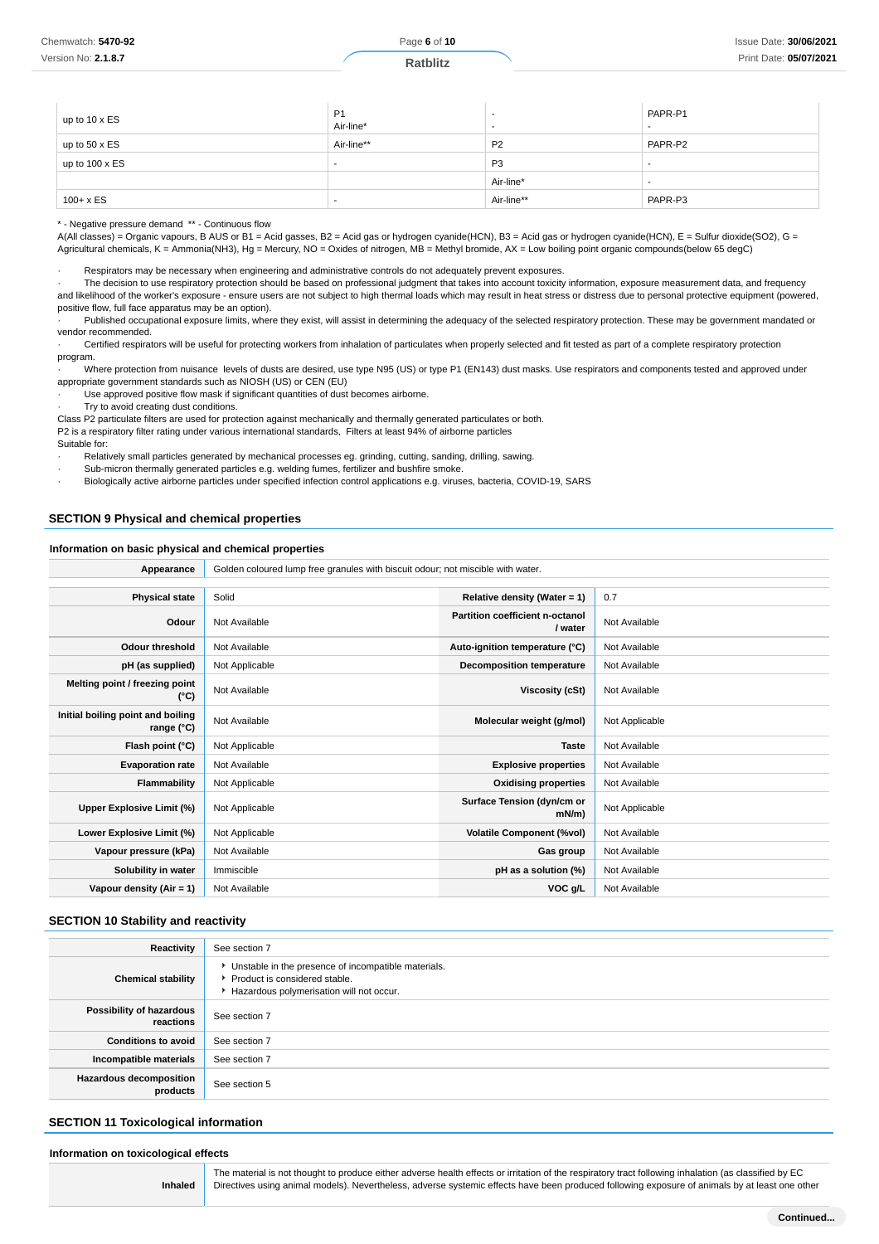| up to $10 \times ES$  | P <sub>1</sub><br>Air-line* |                | PAPR-P1<br>$\overline{\phantom{a}}$ |
|-----------------------|-----------------------------|----------------|-------------------------------------|
| up to $50 \times ES$  | Air-line**                  | <b>P2</b>      | PAPR-P2                             |
| up to $100 \times ES$ |                             | P <sub>3</sub> | $\overline{\phantom{a}}$            |
|                       |                             | Air-line*      | $\overline{\phantom{a}}$            |
| $100 + x ES$          |                             | Air-line**     | PAPR-P3                             |

\* - Negative pressure demand \*\* - Continuous flow

A(All classes) = Organic vapours, B AUS or B1 = Acid gasses, B2 = Acid gas or hydrogen cyanide(HCN), B3 = Acid gas or hydrogen cyanide(HCN), E = Sulfur dioxide(SO2), G = Agricultural chemicals, K = Ammonia(NH3), Hg = Mercury, NO = Oxides of nitrogen, MB = Methyl bromide, AX = Low boiling point organic compounds(below 65 degC)

· Respirators may be necessary when engineering and administrative controls do not adequately prevent exposures.

· The decision to use respiratory protection should be based on professional judgment that takes into account toxicity information, exposure measurement data, and frequency and likelihood of the worker's exposure - ensure users are not subject to high thermal loads which may result in heat stress or distress due to personal protective equipment (powered, positive flow, full face apparatus may be an option).

Published occupational exposure limits, where they exist, will assist in determining the adequacy of the selected respiratory protection. These may be government mandated or vendor recommended.

Certified respirators will be useful for protecting workers from inhalation of particulates when properly selected and fit tested as part of a complete respiratory protection program.

· Where protection from nuisance levels of dusts are desired, use type N95 (US) or type P1 (EN143) dust masks. Use respirators and components tested and approved under appropriate government standards such as NIOSH (US) or CEN (EU)

· Use approved positive flow mask if significant quantities of dust becomes airborne.

· Try to avoid creating dust conditions.

Class P2 particulate filters are used for protection against mechanically and thermally generated particulates or both.

P2 is a respiratory filter rating under various international standards, Filters at least 94% of airborne particles

Suitable for:

Relatively small particles generated by mechanical processes eg. grinding, cutting, sanding, drilling, sawing.

- Sub-micron thermally generated particles e.g. welding fumes, fertilizer and bushfire smoke.
- · Biologically active airborne particles under specified infection control applications e.g. viruses, bacteria, COVID-19, SARS

### **SECTION 9 Physical and chemical properties**

#### **Information on basic physical and chemical properties**

| Golden coloured lump free granules with biscuit odour; not miscible with water.<br>Appearance |                |                                            |                |
|-----------------------------------------------------------------------------------------------|----------------|--------------------------------------------|----------------|
|                                                                                               |                |                                            |                |
| <b>Physical state</b>                                                                         | Solid          | Relative density (Water = $1$ )            | 0.7            |
| Odour                                                                                         | Not Available  | Partition coefficient n-octanol<br>/ water | Not Available  |
| <b>Odour threshold</b>                                                                        | Not Available  | Auto-ignition temperature (°C)             | Not Available  |
| pH (as supplied)                                                                              | Not Applicable | Decomposition temperature                  | Not Available  |
| Melting point / freezing point<br>(°C)                                                        | Not Available  | Viscosity (cSt)                            | Not Available  |
| Initial boiling point and boiling<br>range (°C)                                               | Not Available  | Molecular weight (g/mol)                   | Not Applicable |
| Flash point (°C)                                                                              | Not Applicable | <b>Taste</b>                               | Not Available  |
| <b>Evaporation rate</b>                                                                       | Not Available  | <b>Explosive properties</b>                | Not Available  |
| Flammability                                                                                  | Not Applicable | <b>Oxidising properties</b>                | Not Available  |
| Upper Explosive Limit (%)                                                                     | Not Applicable | Surface Tension (dyn/cm or<br>$mN/m$ )     | Not Applicable |
| Lower Explosive Limit (%)                                                                     | Not Applicable | <b>Volatile Component (%vol)</b>           | Not Available  |
| Vapour pressure (kPa)                                                                         | Not Available  | Gas group                                  | Not Available  |
| Solubility in water                                                                           | Immiscible     | pH as a solution (%)                       | Not Available  |
| Vapour density $(Air = 1)$                                                                    | Not Available  | VOC g/L                                    | Not Available  |

### **SECTION 10 Stability and reactivity**

| Reactivity                                 | See section 7                                                                                                                        |
|--------------------------------------------|--------------------------------------------------------------------------------------------------------------------------------------|
| <b>Chemical stability</b>                  | • Unstable in the presence of incompatible materials.<br>▶ Product is considered stable.<br>Hazardous polymerisation will not occur. |
| Possibility of hazardous<br>reactions      | See section 7                                                                                                                        |
| <b>Conditions to avoid</b>                 | See section 7                                                                                                                        |
| Incompatible materials                     | See section 7                                                                                                                        |
| <b>Hazardous decomposition</b><br>products | See section 5                                                                                                                        |

#### **SECTION 11 Toxicological information**

#### **Information on toxicological effects**

**Inhaled**

The material is not thought to produce either adverse health effects or irritation of the respiratory tract following inhalation (as classified by EC Directives using animal models). Nevertheless, adverse systemic effects have been produced following exposure of animals by at least one other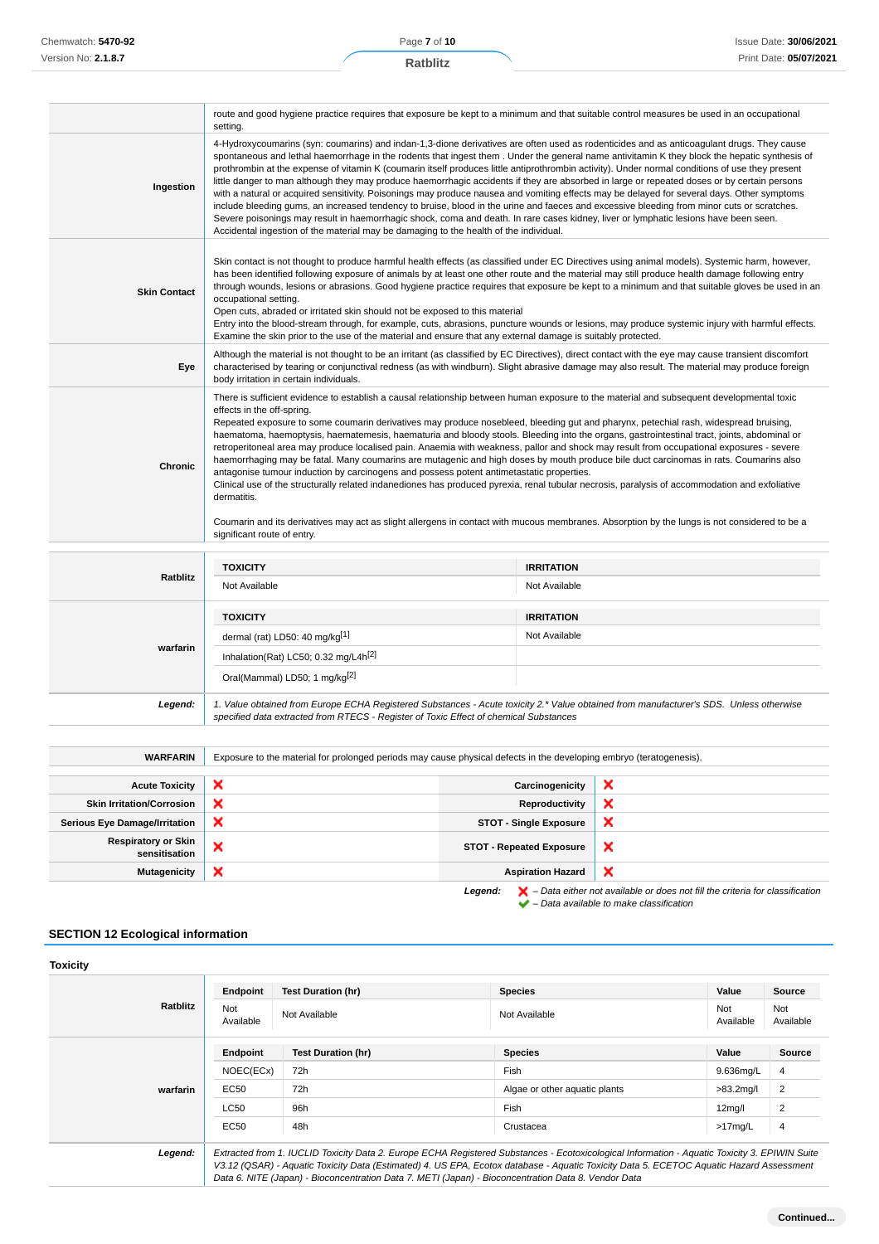|                     | route and good hygiene practice requires that exposure be kept to a minimum and that suitable control measures be used in an occupational<br>setting.                                                                                                                                                                                                                                                                                                                                                                                                                                                                                                                                                                                                                                                                                                                                                                                                                                                                                                                                                                                                                                          |
|---------------------|------------------------------------------------------------------------------------------------------------------------------------------------------------------------------------------------------------------------------------------------------------------------------------------------------------------------------------------------------------------------------------------------------------------------------------------------------------------------------------------------------------------------------------------------------------------------------------------------------------------------------------------------------------------------------------------------------------------------------------------------------------------------------------------------------------------------------------------------------------------------------------------------------------------------------------------------------------------------------------------------------------------------------------------------------------------------------------------------------------------------------------------------------------------------------------------------|
| Ingestion           | 4-Hydroxycoumarins (syn: coumarins) and indan-1,3-dione derivatives are often used as rodenticides and as anticoagulant drugs. They cause<br>spontaneous and lethal haemorrhage in the rodents that ingest them. Under the general name antivitamin K they block the hepatic synthesis of<br>prothrombin at the expense of vitamin K (coumarin itself produces little antiprothrombin activity). Under normal conditions of use they present<br>little danger to man although they may produce haemorrhagic accidents if they are absorbed in large or repeated doses or by certain persons<br>with a natural or acquired sensitivity. Poisonings may produce nausea and vomiting effects may be delayed for several days. Other symptoms<br>include bleeding gums, an increased tendency to bruise, blood in the urine and faeces and excessive bleeding from minor cuts or scratches.<br>Severe poisonings may result in haemorrhagic shock, coma and death. In rare cases kidney, liver or lymphatic lesions have been seen.<br>Accidental ingestion of the material may be damaging to the health of the individual.                                                                       |
| <b>Skin Contact</b> | Skin contact is not thought to produce harmful health effects (as classified under EC Directives using animal models). Systemic harm, however,<br>has been identified following exposure of animals by at least one other route and the material may still produce health damage following entry<br>through wounds, lesions or abrasions. Good hygiene practice requires that exposure be kept to a minimum and that suitable gloves be used in an<br>occupational setting.<br>Open cuts, abraded or irritated skin should not be exposed to this material<br>Entry into the blood-stream through, for example, cuts, abrasions, puncture wounds or lesions, may produce systemic injury with harmful effects.<br>Examine the skin prior to the use of the material and ensure that any external damage is suitably protected.                                                                                                                                                                                                                                                                                                                                                                 |
| Eye                 | Although the material is not thought to be an irritant (as classified by EC Directives), direct contact with the eye may cause transient discomfort<br>characterised by tearing or conjunctival redness (as with windburn). Slight abrasive damage may also result. The material may produce foreign<br>body irritation in certain individuals.                                                                                                                                                                                                                                                                                                                                                                                                                                                                                                                                                                                                                                                                                                                                                                                                                                                |
| Chronic             | There is sufficient evidence to establish a causal relationship between human exposure to the material and subsequent developmental toxic<br>effects in the off-spring.<br>Repeated exposure to some coumarin derivatives may produce nosebleed, bleeding gut and pharynx, petechial rash, widespread bruising,<br>haematoma, haemoptysis, haematemesis, haematuria and bloody stools. Bleeding into the organs, gastrointestinal tract, joints, abdominal or<br>retroperitoneal area may produce localised pain. Anaemia with weakness, pallor and shock may result from occupational exposures - severe<br>haemorrhaging may be fatal. Many coumarins are mutagenic and high doses by mouth produce bile duct carcinomas in rats. Coumarins also<br>antagonise tumour induction by carcinogens and possess potent antimetastatic properties.<br>Clinical use of the structurally related indanediones has produced pyrexia, renal tubular necrosis, paralysis of accommodation and exfoliative<br>dermatitis.<br>Coumarin and its derivatives may act as slight allergens in contact with mucous membranes. Absorption by the lungs is not considered to be a<br>significant route of entry. |
|                     |                                                                                                                                                                                                                                                                                                                                                                                                                                                                                                                                                                                                                                                                                                                                                                                                                                                                                                                                                                                                                                                                                                                                                                                                |

|          | <b>TOXICITY</b>                                                                                                                                                                                                                 | <b>IRRITATION</b> |
|----------|---------------------------------------------------------------------------------------------------------------------------------------------------------------------------------------------------------------------------------|-------------------|
| Ratblitz | Not Available                                                                                                                                                                                                                   | Not Available     |
|          | <b>TOXICITY</b>                                                                                                                                                                                                                 | <b>IRRITATION</b> |
|          | dermal (rat) LD50: 40 mg/kg $[1]$                                                                                                                                                                                               | Not Available     |
| warfarin | Inhalation(Rat) LC50; 0.32 mg/L4h <sup>[2]</sup>                                                                                                                                                                                |                   |
|          | Oral(Mammal) LD50; 1 mg/kg[2]                                                                                                                                                                                                   |                   |
| Legend:  | 1. Value obtained from Europe ECHA Registered Substances - Acute toxicity 2.* Value obtained from manufacturer's SDS. Unless otherwise<br>specified data extracted from RTECS - Register of Toxic Effect of chemical Substances |                   |

| <b>WARFARIN</b>                             | Exposure to the material for prolonged periods may cause physical defects in the developing embryo (teratogenesis). |                                 |                                                                                                    |
|---------------------------------------------|---------------------------------------------------------------------------------------------------------------------|---------------------------------|----------------------------------------------------------------------------------------------------|
|                                             |                                                                                                                     |                                 |                                                                                                    |
| <b>Acute Toxicity</b>                       | ×                                                                                                                   | Carcinogenicity                 | ×                                                                                                  |
| <b>Skin Irritation/Corrosion</b>            | ×                                                                                                                   | Reproductivity                  | ×                                                                                                  |
| <b>Serious Eye Damage/Irritation</b>        | ×                                                                                                                   | <b>STOT - Single Exposure</b>   | ×                                                                                                  |
| <b>Respiratory or Skin</b><br>sensitisation | $\check{ }$<br>⌒                                                                                                    | <b>STOT - Repeated Exposure</b> | $\boldsymbol{\mathsf{x}}$                                                                          |
| <b>Mutagenicity</b>                         | ×                                                                                                                   | <b>Aspiration Hazard</b>        | ×                                                                                                  |
|                                             |                                                                                                                     | Legend:                         | $\blacktriangleright$ - Data either not available or does not fill the criteria for classification |

 $\blacktriangleright$  – Data available to make classification

## **SECTION 12 Ecological information**

| <b>Toxicity</b> |                  |                           |                                                                                                                                                                                                                                                                                                                                                                                                 |                     |                  |
|-----------------|------------------|---------------------------|-------------------------------------------------------------------------------------------------------------------------------------------------------------------------------------------------------------------------------------------------------------------------------------------------------------------------------------------------------------------------------------------------|---------------------|------------------|
|                 | Endpoint         | <b>Test Duration (hr)</b> | <b>Species</b>                                                                                                                                                                                                                                                                                                                                                                                  | Value               | Source           |
| <b>Ratblitz</b> | Not<br>Available | Not Available             | Not Available                                                                                                                                                                                                                                                                                                                                                                                   | Not<br>Available    | Not<br>Available |
|                 | Endpoint         | <b>Test Duration (hr)</b> | <b>Species</b>                                                                                                                                                                                                                                                                                                                                                                                  | Value               | Source           |
|                 | NOEC(ECx)        | 72h                       | Fish                                                                                                                                                                                                                                                                                                                                                                                            | 9.636mg/L           | 4                |
| warfarin        | EC50             | 72h                       | Algae or other aguatic plants                                                                                                                                                                                                                                                                                                                                                                   | $>83.2$ mg/l        | 2                |
|                 | <b>LC50</b>      | 96h                       | Fish                                                                                                                                                                                                                                                                                                                                                                                            | 12 <sub>mq</sub> /I | 2                |
|                 | EC50             | 48h                       | Crustacea                                                                                                                                                                                                                                                                                                                                                                                       | $>17$ mg/L          | 4                |
| Legend:         |                  |                           | Extracted from 1. IUCLID Toxicity Data 2. Europe ECHA Registered Substances - Ecotoxicological Information - Aquatic Toxicity 3. EPIWIN Suite<br>V3.12 (QSAR) - Aquatic Toxicity Data (Estimated) 4. US EPA, Ecotox database - Aquatic Toxicity Data 5. ECETOC Aquatic Hazard Assessment<br>Data 6. NITE (Japan) - Bioconcentration Data 7. METI (Japan) - Bioconcentration Data 8. Vendor Data |                     |                  |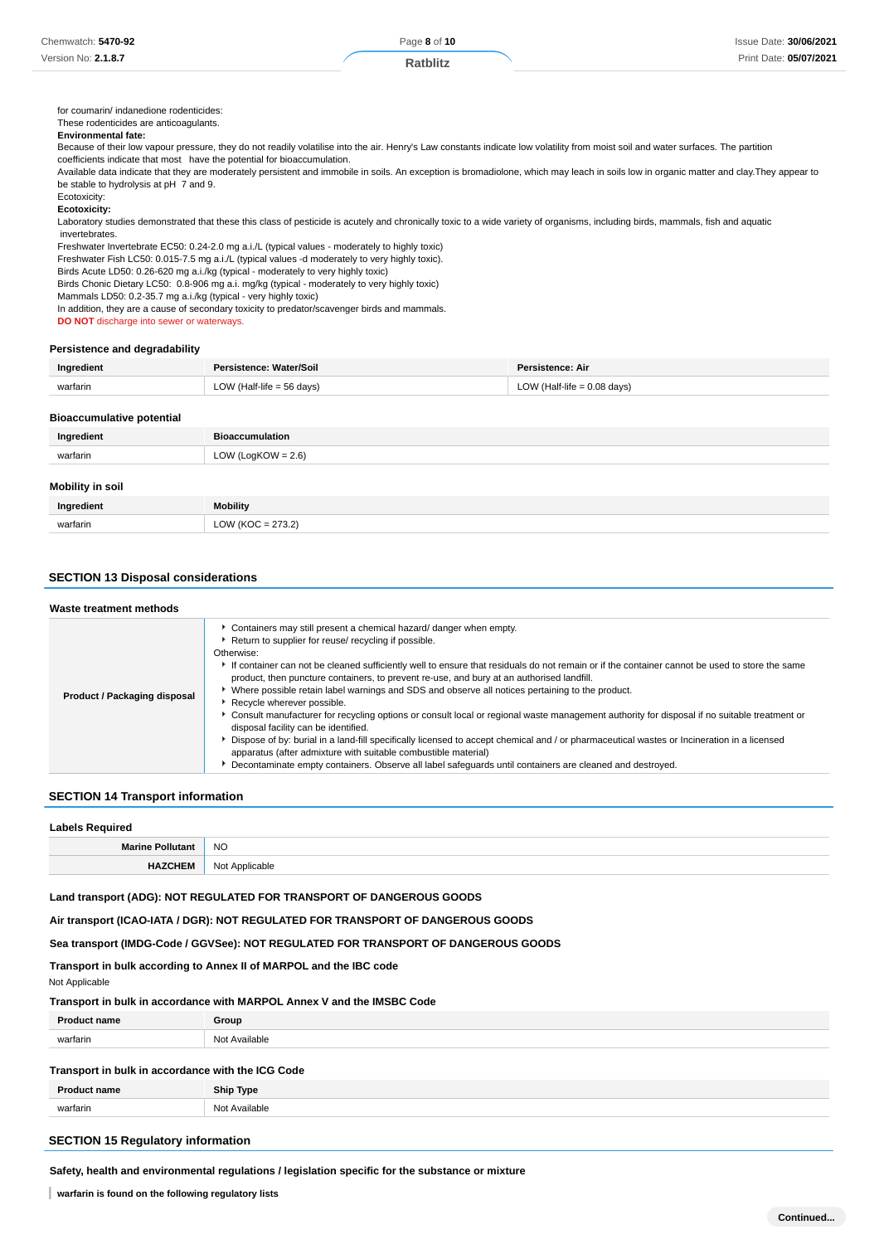### **Ratblitz**

for coumarin/ indanedione rodenticides:

#### These rodenticides are anticoagulants.

### **Environmental fate:**

Because of their low vapour pressure, they do not readily volatilise into the air. Henry's Law constants indicate low volatility from moist soil and water surfaces. The partition coefficients indicate that most have the potential for bioaccumulation.

Available data indicate that they are moderately persistent and immobile in soils. An exception is bromadiolone, which may leach in soils low in organic matter and clay.They appear to be stable to hydrolysis at pH 7 and 9.

Ecotoxicity:

#### **Ecotoxicity:**

Laboratory studies demonstrated that these this class of pesticide is acutely and chronically toxic to a wide variety of organisms, including birds, mammals, fish and aquatic invertebrates.

Freshwater Invertebrate EC50: 0.24-2.0 mg a.i./L (typical values - moderately to highly toxic)

Freshwater Fish LC50: 0.015-7.5 mg a.i./L (typical values -d moderately to very highly toxic).

Birds Acute LD50: 0.26-620 mg a.i./kg (typical - moderately to very highly toxic) Birds Chonic Dietary LC50: 0.8-906 mg a.i. mg/kg (typical - moderately to very highly toxic)

Mammals LD50: 0.2-35.7 mg a.i./kg (typical - very highly toxic)

In addition, they are a cause of secondary toxicity to predator/scavenger birds and mammals.

**DO NOT** discharge into sewer or waterways.

#### **Persistence and degradability**

| Ingredient | Persistence: Water/Soil     | Persistence: Air              |
|------------|-----------------------------|-------------------------------|
| warfarin   | LOW (Half-life $=$ 56 days) | LOW (Half-life $= 0.08$ days) |

#### **Bioaccumulative potential**

| Ingredient | Bioaccumulation       |
|------------|-----------------------|
| warfarin   | LOW (LogKOW = $2.6$ ) |
|            |                       |

### **Mobility in soil**

| Ingredient | <b>bility</b> |  |
|------------|---------------|--|
| wartarin   |               |  |

### **SECTION 13 Disposal considerations**

| Waste treatment methods      |                                                                                                                                                                                                                                                                                                                                                                                                                                                                                                                                                                                                                                                                                                                                                                                                                                                                                                                                                                                                                                                  |
|------------------------------|--------------------------------------------------------------------------------------------------------------------------------------------------------------------------------------------------------------------------------------------------------------------------------------------------------------------------------------------------------------------------------------------------------------------------------------------------------------------------------------------------------------------------------------------------------------------------------------------------------------------------------------------------------------------------------------------------------------------------------------------------------------------------------------------------------------------------------------------------------------------------------------------------------------------------------------------------------------------------------------------------------------------------------------------------|
| Product / Packaging disposal | • Containers may still present a chemical hazard/ danger when empty.<br>Return to supplier for reuse/ recycling if possible.<br>Otherwise:<br>If container can not be cleaned sufficiently well to ensure that residuals do not remain or if the container cannot be used to store the same<br>product, then puncture containers, to prevent re-use, and bury at an authorised landfill.<br>▶ Where possible retain label warnings and SDS and observe all notices pertaining to the product.<br>Recycle wherever possible.<br>▶ Consult manufacturer for recycling options or consult local or regional waste management authority for disposal if no suitable treatment or<br>disposal facility can be identified.<br>Dispose of by: burial in a land-fill specifically licensed to accept chemical and / or pharmaceutical wastes or Incineration in a licensed<br>apparatus (after admixture with suitable combustible material)<br>Decontaminate empty containers. Observe all label safeguards until containers are cleaned and destroyed. |

#### **SECTION 14 Transport information**

| <b>Labels Required</b>  |                |  |
|-------------------------|----------------|--|
| <b>Marine Pollutant</b> | <b>NO</b>      |  |
| <b>HAZCHEM</b>          | Not Applicable |  |

**Land transport (ADG): NOT REGULATED FOR TRANSPORT OF DANGEROUS GOODS**

**Air transport (ICAO-IATA / DGR): NOT REGULATED FOR TRANSPORT OF DANGEROUS GOODS**

**Sea transport (IMDG-Code / GGVSee): NOT REGULATED FOR TRANSPORT OF DANGEROUS GOODS**

**Transport in bulk according to Annex II of MARPOL and the IBC code**

Not Applicable

#### **Transport in bulk in accordance with MARPOL Annex V and the IMSBC Code**

| Dr.      | Group                         |
|----------|-------------------------------|
| warfarin | N <sub>0</sub><br>≅lable<br>. |
|          |                               |

### **Transport in bulk in accordance with the ICG Code**

|          | <b>Ship Type</b>  |
|----------|-------------------|
| wartarin | ∽י<br>∵vailable ∵ |
|          |                   |

## **SECTION 15 Regulatory information**

**Safety, health and environmental regulations / legislation specific for the substance or mixture**

**warfarin is found on the following regulatory lists**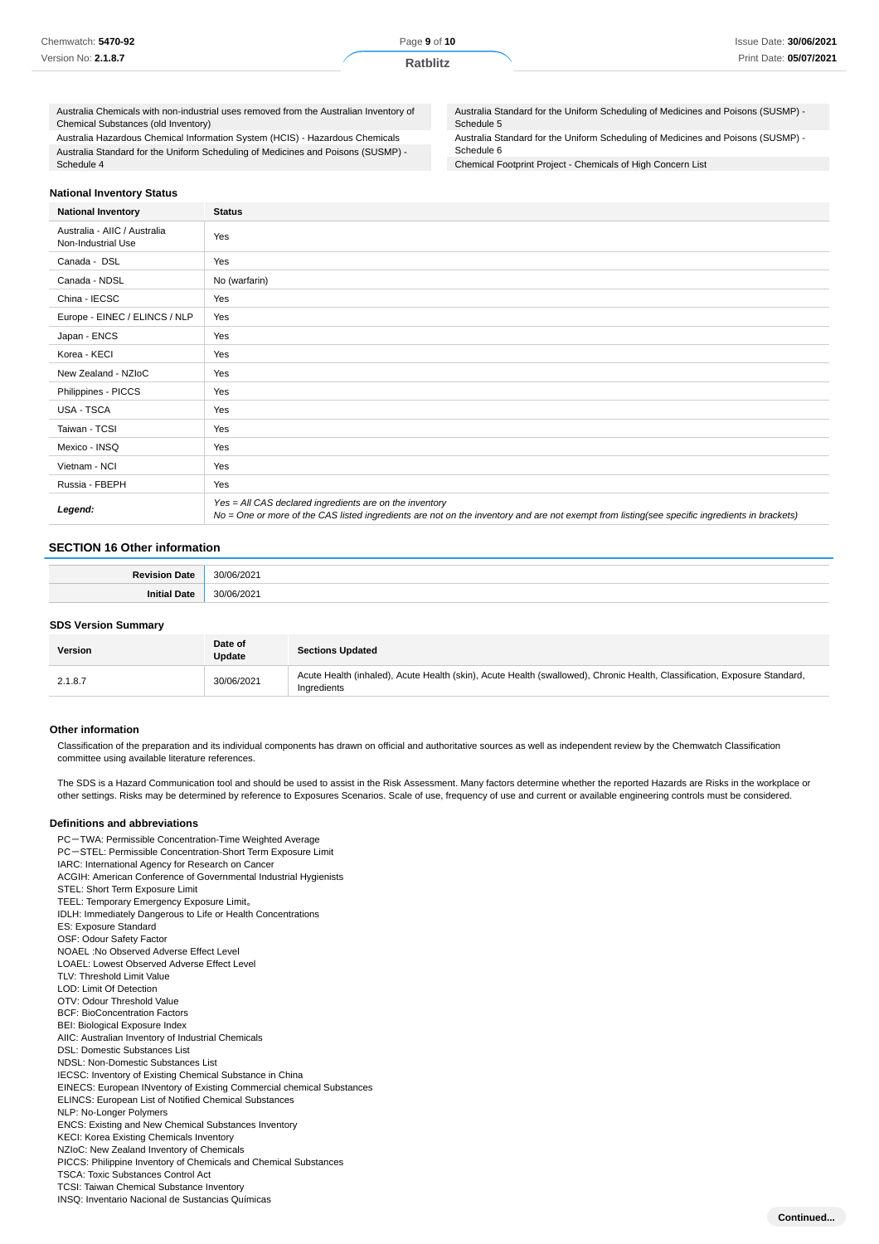| Chemwatch: 5470-92  | Page 9 of 10    | Issue Date: 30/06/2021 |
|---------------------|-----------------|------------------------|
| Version No: 2.1.8.7 | <b>Ratblitz</b> | Print Date: 05/07/2021 |

Australia Chemicals with non-industrial uses removed from the Australian Inventory of Chemical Substances (old Inventory)

Australia Hazardous Chemical Information System (HCIS) - Hazardous Chemicals Australia Standard for the Uniform Scheduling of Medicines and Poisons (SUSMP) - Schedule 4

Australia Standard for the Uniform Scheduling of Medicines and Poisons (SUSMP) - Schedule 5

Australia Standard for the Uniform Scheduling of Medicines and Poisons (SUSMP) -

Schedule 6

Chemical Footprint Project - Chemicals of High Concern List

#### **National Inventory Status**

| <b>National Inventory</b>                          | <b>Status</b>                                                                                                                                                                                            |
|----------------------------------------------------|----------------------------------------------------------------------------------------------------------------------------------------------------------------------------------------------------------|
| Australia - AIIC / Australia<br>Non-Industrial Use | Yes                                                                                                                                                                                                      |
| Canada - DSL                                       | Yes                                                                                                                                                                                                      |
| Canada - NDSL                                      | No (warfarin)                                                                                                                                                                                            |
| China - IECSC                                      | Yes                                                                                                                                                                                                      |
| Europe - EINEC / ELINCS / NLP                      | Yes                                                                                                                                                                                                      |
| Japan - ENCS                                       | Yes                                                                                                                                                                                                      |
| Korea - KECI                                       | Yes                                                                                                                                                                                                      |
| New Zealand - NZIoC                                | Yes                                                                                                                                                                                                      |
| Philippines - PICCS                                | Yes                                                                                                                                                                                                      |
| USA - TSCA                                         | Yes                                                                                                                                                                                                      |
| Taiwan - TCSI                                      | Yes                                                                                                                                                                                                      |
| Mexico - INSQ                                      | Yes                                                                                                                                                                                                      |
| Vietnam - NCI                                      | Yes                                                                                                                                                                                                      |
| Russia - FBEPH                                     | Yes                                                                                                                                                                                                      |
| Legend:                                            | Yes = All CAS declared ingredients are on the inventory<br>No = One or more of the CAS listed ingredients are not on the inventory and are not exempt from listing(see specific ingredients in brackets) |

### **SECTION 16 Other information**

#### **SDS Version Summary**

| Version | Date of<br>Update | <b>Sections Updated</b>                                                                                                                  |
|---------|-------------------|------------------------------------------------------------------------------------------------------------------------------------------|
| 2.1.8.7 | 30/06/2021        | Acute Health (inhaled), Acute Health (skin), Acute Health (swallowed), Chronic Health, Classification, Exposure Standard,<br>Ingredients |

#### **Other information**

Classification of the preparation and its individual components has drawn on official and authoritative sources as well as independent review by the Chemwatch Classification committee using available literature references.

The SDS is a Hazard Communication tool and should be used to assist in the Risk Assessment. Many factors determine whether the reported Hazards are Risks in the workplace or other settings. Risks may be determined by reference to Exposures Scenarios. Scale of use, frequency of use and current or available engineering controls must be considered.

#### **Definitions and abbreviations**

PC-TWA: Permissible Concentration-Time Weighted Average PC-STEL: Permissible Concentration-Short Term Exposure Limit IARC: International Agency for Research on Cancer ACGIH: American Conference of Governmental Industrial Hygienists STEL: Short Term Exposure Limit TEEL: Temporary Emergency Exposure Limit。 IDLH: Immediately Dangerous to Life or Health Concentrations ES: Exposure Standard OSF: Odour Safety Factor NOAEL :No Observed Adverse Effect Level LOAEL: Lowest Observed Adverse Effect Level TLV: Threshold Limit Value LOD: Limit Of Detection OTV: Odour Threshold Value BCF: BioConcentration Factors BEI: Biological Exposure Index AIIC: Australian Inventory of Industrial Chemicals DSL: Domestic Substances List NDSL: Non-Domestic Substances List IECSC: Inventory of Existing Chemical Substance in China EINECS: European INventory of Existing Commercial chemical Substances ELINCS: European List of Notified Chemical Substances NLP: No-Longer Polymers ENCS: Existing and New Chemical Substances Inventory KECI: Korea Existing Chemicals Inventory NZIoC: New Zealand Inventory of Chemicals PICCS: Philippine Inventory of Chemicals and Chemical Substances TSCA: Toxic Substances Control Act TCSI: Taiwan Chemical Substance Inventory INSQ: Inventario Nacional de Sustancias Químicas